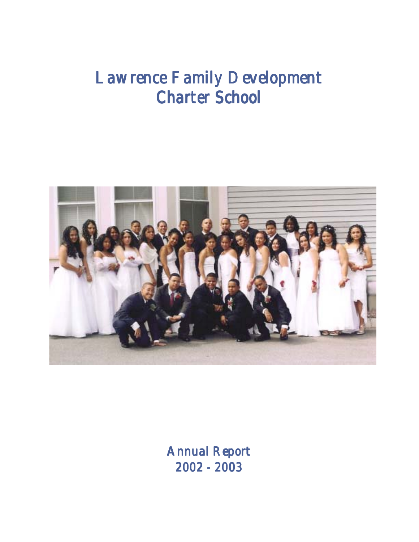# *Lawrence Family Development Lawrence Family Development Lawrence Family Development Lawrence Family Development Charter School Charter SchoolCharter School School*



 $A$ nnual Report *2002 - 2003 2002 - 2003 2002 - 2003- 20032002 -*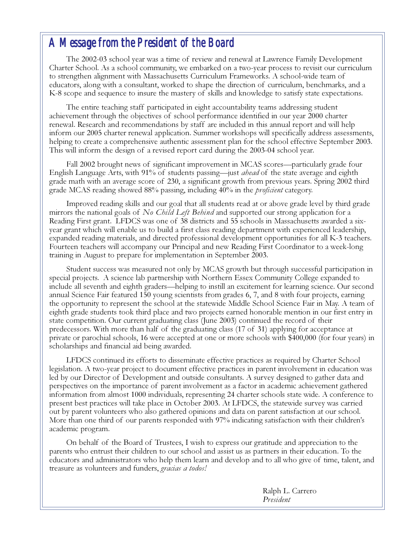#### *A Message from the President of the Board Message from the President of the Board*

The 2002-03 school year was a time of review and renewal at Lawrence Family Development Charter School. As a school community, we embarked on a two-year process to revisit our curriculum to strengthen alignment with Massachusetts Curriculum Frameworks. A school-wide team of educators, along with a consultant, worked to shape the direction of curriculum, benchmarks, and a K-8 scope and sequence to insure the mastery of skills and knowledge to satisfy state expectations.

The entire teaching staff participated in eight accountability teams addressing student achievement through the objectives of school performance identified in our year 2000 charter renewal. Research and recommendations by staff are included in this annual report and will help inform our 2005 charter renewal application. Summer workshops will specifically address assessments, helping to create a comprehensive authentic assessment plan for the school effective September 2003. This will inform the design of a revised report card during the 2003-04 school year.

Fall 2002 brought news of significant improvement in MCAS scores—particularly grade four English Language Arts, with 91% of students passing—just *ahead* of the state average and eighth grade math with an average score of 230, a significant growth from previous years. Spring 2002 third grade MCAS reading showed 88% passing, including 40% in the *proficient* category.

Improved reading skills and our goal that all students read at or above grade level by third grade mirrors the national goals of N<sub>o</sub> Child Left Behind and supported our strong application for a Reading First grant. LFDCS was one of 38 districts and 55 schools in Massachusetts awarded a sixyear grant which will enable us to build a first class reading department with experienced leadership, expanded reading materials, and directed professional development opportunities for all K-3 teachers. Fourteen teachers will accompany our Principal and new Reading First Coordinator to a week-long training in August to prepare for implementation in September 2003.

Student success was measured not only by MCAS growth but through successful participation in special projects. A science lab partnership with Northern Essex Community College expanded to include all seventh and eighth graders—helping to instill an excitement for learning science. Our second annual Science Fair featured 150 young scientists from grades 6, 7, and 8 with four projects, earning the opportunity to represent the school at the statewide Middle School Science Fair in May. A team of eighth grade students took third place and two projects earned honorable mention in our first entry in state competition. Our current graduating class (June 2003) continued the record of their predecessors. With more than half of the graduating class (17 of 31) applying for acceptance at private or parochial schools, 16 were accepted at one or more schools with \$400,000 (for four years) in scholarships and financial aid being awarded.

LFDCS continued its efforts to disseminate effective practices as required by Charter School legislation. A two-year project to document effective practices in parent involvement in education was led by our Director of Development and outside consultants. A survey designed to gather data and perspectives on the importance of parent involvement as a factor in academic achievement gathered information from almost 1000 individuals, representing 24 charter schools state wide. A conference to present best practices will take place in October 2003. At LFDCS, the statewide survey was carried out by parent volunteers who also gathered opinions and data on parent satisfaction at our school. More than one third of our parents responded with 97% indicating satisfaction with their children's academic program.

On behalf of the Board of Trustees, I wish to express our gratitude and appreciation to the parents who entrust their children to our school and assist us as partners in their education. To the educators and administrators who help them learn and develop and to all who give of time, talent, and treasure as volunteers and funders, gracias a todos!

> Ralph L. Carrero President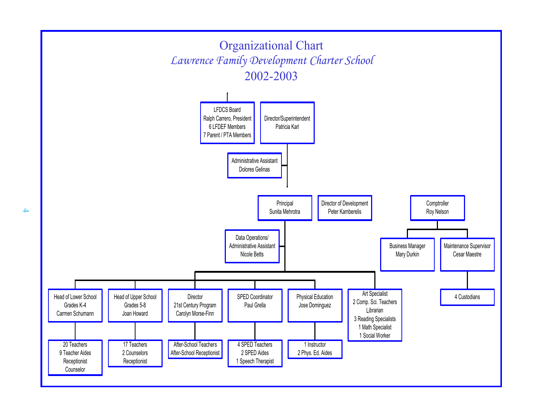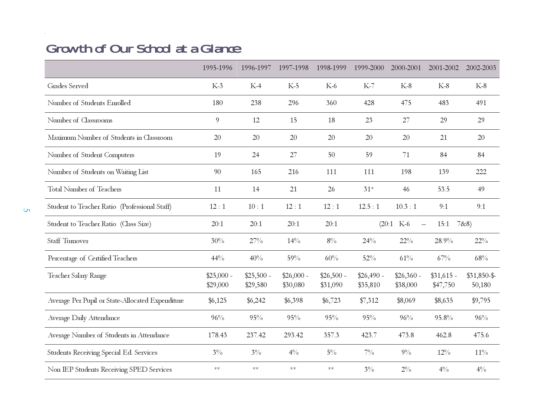## **Growth of Our School at a Glance**

|                                                  | 1995-1996               | 1996-1997               | 1997-1998               | 1998-1999               | 1999-2000              | 2000-2001                               | 2001-2002               | 2002-2003             |
|--------------------------------------------------|-------------------------|-------------------------|-------------------------|-------------------------|------------------------|-----------------------------------------|-------------------------|-----------------------|
| Grades Served                                    | $K-3$                   | $K-4$                   | $K-5$                   | $K-6$                   | $K-7$                  | $K-8$                                   | $K-8$                   | $K-8$                 |
| Number of Students Enrolled                      | 180                     | 238                     | 296                     | 360                     | 428                    | 475                                     | 483                     | 491                   |
| Number of Classrooms                             | $\boldsymbol{9}$        | 12                      | 15                      | 18                      | 23                     | 27                                      | 29                      | 29                    |
| Maximum Number of Students in Classroom          | 20                      | 20                      | 20                      | 20                      | 20                     | 20                                      | 21                      | 20                    |
| Number of Student Computers                      | 19                      | 24                      | 27                      | 50                      | 59                     | 71                                      | 84                      | 84                    |
| Number of Students on Waiting List               | 90                      | 165                     | 216                     | 111                     | 111                    | 198                                     | 139                     | 222                   |
| <b>Total Number of Teachers</b>                  | 11                      | 14                      | 21                      | 26                      | $31*$                  | 46                                      | 53.5                    | 49                    |
| Student to Teacher Ratio (Professional Staff)    | 12:1                    | 10:1                    | 12:1                    | 12:1                    | 12.5:1                 | 10.3:1                                  | 9:1                     | 9:1                   |
| Student to Teacher Ratio (Class Size)            | 20:1                    | 20:1                    | 20:1                    | 20:1                    |                        | $(20:1$ K-6<br>$\overline{\phantom{0}}$ | 15:1                    | 7828                  |
| Staff Tumover                                    | 30%                     | 27%                     | 14%                     | $8\%$                   | 24%                    | $22\%$                                  | 28.9%                   | $22\%$                |
| Percentage of Certified Teachers                 | 44%                     | 40%                     | 59%                     | 60%                     | 52%                    | 61%                                     | 67%                     | 68%                   |
| Teacher Salary Range                             | $$25,000 -$<br>\$29,000 | $$25,500 -$<br>\$29,580 | $$26,000 -$<br>\$30,080 | $$26,500 -$<br>\$31,090 | $$26,490-$<br>\$35,810 | $$26,360 -$<br>\$38,000                 | $$31,615$ -<br>\$47,750 | $$31,850-\$<br>50,180 |
| Average Per Pupil or State-Allocated Expenditure | \$6,125                 | \$6,242                 | \$6,398                 | \$6,723                 | \$7,312                | \$8,069                                 | \$8,635                 | \$9,795               |
| Average Daily Attendance                         | 96%                     | 95%                     | 95%                     | 95%                     | 95%                    | 96%                                     | 95.8%                   | 96%                   |
| Average Number of Students in Attendance         | 178.43                  | 237.42                  | 293.42                  | 357.3                   | 423.7                  | 473.8                                   | 462.8                   | 475.6                 |
| Students Receiving Special Ed. Services          | $3\%$                   | $3\%$                   | $4\%$                   | $5\%$                   | $7\%$                  | $9\%$                                   | $12\%$                  | $11\%$                |
| Non IEP Students Receiving SPED Services         | $\ast\ast$              | $**$                    | $\ast\!\ast$            | $\ast\ast$              | $3\%$                  | $2\%$                                   | $4\%$                   | $4\%$                 |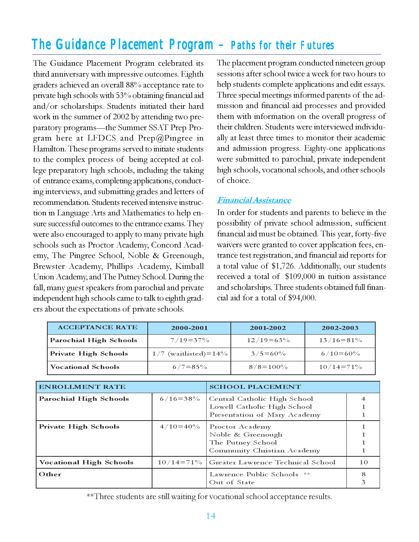### *TheGuidance Placement Program Guidance Placement Program – Paths for their Futures Paths for Futures Futures*

The Guidance Placement Program celebrated its third anniversary with impressive outcomes. Eighth graders achieved an overall 88% acceptance rate to private high schools with 53% obtaining financial aid and/or scholarships. Students initiated their hard work in the summer of 2002 by attending two preparatory programs—the Summer SSAT Prep Program here at LFDCS and Prep@Pingree in Hamilton. These programs served to initiate students to the complex process of being accepted at college preparatory high schools, including the taking of entrance exams, completing applications, conducting interviews, and submitting grades and letters of recommendation. Students received intensive instruction in Language Arts and Mathematics to help ensure successful outcomes to the entrance exams. They were also encouraged to apply to many private high schools such as Proctor Academy, Concord Academy, The Pingree School, Noble & Greenough, Brewster Academy, Phillips Academy, Kimball Union Academy, and The Putney School. During the fall, many guest speakers from parochial and private independent high schools came to talk to eighth graders about the expectations of private schools.

The placement program conducted nineteen group sessions after school twice a week for two hours to help students complete applications and edit essays. Three special meetings informed parents of the admission and financial aid processes and provided them with information on the overall progress of their children. Students were interviewed individually at least three times to monitor their academic and admission progress. Eighty-one applications were submitted to parochial, private independent high schools, vocational schools, and other schools of choice.

#### Financial Assistance

In order for students and parents to believe in the possibility of private school admission, sufficient financial aid must be obtained. This year, forty-five waivers were granted to cover application fees, entrance test registration, and financial aid reports for a total value of \$1,726. Additionally, our students received a total of \$109,000 in tuition assistance and scholarships. Three students obtained full financial aid for a total of \$94,000.

| <b>ACCEPTANCE RATE</b> | 2000-2001              | 2001-2002      | 2002-2003      |  |
|------------------------|------------------------|----------------|----------------|--|
| Parochial High Schools | $7/19 = 37\%$          | $12/19 = 63\%$ | $13/16 = 81\%$ |  |
| Private High Schools   | $1/7$ (waitlisted)=14% | $3/5 = 60\%$   | $6/10=60\%$    |  |
| Vocational Schools     | $6/7 = 85\%$           | $8/8 = 100\%$  | $10/14 = 71\%$ |  |

| <b>ENROLLMENT RATE</b>         |                | <b>SCHOOL PLACEMENT</b>                                                                     |    |  |
|--------------------------------|----------------|---------------------------------------------------------------------------------------------|----|--|
| <b>Parochial High Schools</b>  | $6/16 = 38\%$  | Central Catholic High School<br>Lowell Catholic High School<br>Presentation of Mary Academy |    |  |
| <b>Private High Schools</b>    | $4/10=40\%$    | Proctor Academy<br>Noble & Greenough<br>The Putney School<br>Community Christian Academy    |    |  |
| <b>Vocational High Schools</b> | $10/14 = 71\%$ | <b>Greater Lawrence Technical School</b>                                                    | 10 |  |
| Other                          |                | Lawrence Public Schools **<br>Out of State                                                  |    |  |

\*\*Three students are still waiting for vocational school acceptance results.